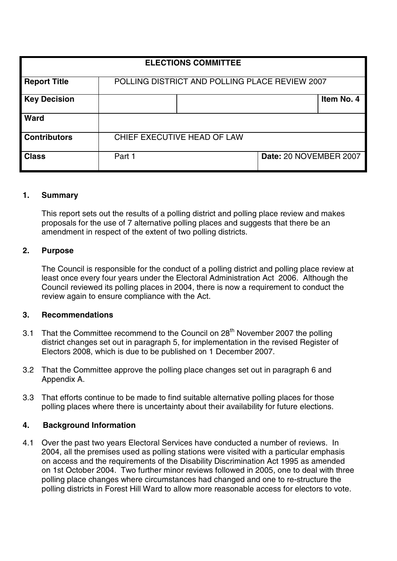| <b>ELECTIONS COMMITTEE</b> |                                                |  |                        |            |  |  |
|----------------------------|------------------------------------------------|--|------------------------|------------|--|--|
|                            |                                                |  |                        |            |  |  |
| <b>Report Title</b>        | POLLING DISTRICT AND POLLING PLACE REVIEW 2007 |  |                        |            |  |  |
| <b>Key Decision</b>        |                                                |  |                        | Item No. 4 |  |  |
| <b>Ward</b>                |                                                |  |                        |            |  |  |
| <b>Contributors</b>        | CHIEF EXECUTIVE HEAD OF LAW                    |  |                        |            |  |  |
| <b>Class</b>               | Part 1                                         |  | Date: 20 NOVEMBER 2007 |            |  |  |

# **1. Summary**

This report sets out the results of a polling district and polling place review and makes proposals for the use of 7 alternative polling places and suggests that there be an amendment in respect of the extent of two polling districts.

#### **2. Purpose**

The Council is responsible for the conduct of a polling district and polling place review at least once every four years under the Electoral Administration Act 2006. Although the Council reviewed its polling places in 2004, there is now a requirement to conduct the review again to ensure compliance with the Act.

# **3. Recommendations**

- 3.1 That the Committee recommend to the Council on 28<sup>th</sup> November 2007 the polling district changes set out in paragraph 5, for implementation in the revised Register of Electors 2008, which is due to be published on 1 December 2007.
- 3.2 That the Committee approve the polling place changes set out in paragraph 6 and Appendix A.
- 3.3 That efforts continue to be made to find suitable alternative polling places for those polling places where there is uncertainty about their availability for future elections.

# **4. Background Information**

4.1 Over the past two years Electoral Services have conducted a number of reviews. In 2004, all the premises used as polling stations were visited with a particular emphasis on access and the requirements of the Disability Discrimination Act 1995 as amended on 1st October 2004. Two further minor reviews followed in 2005, one to deal with three polling place changes where circumstances had changed and one to re-structure the polling districts in Forest Hill Ward to allow more reasonable access for electors to vote.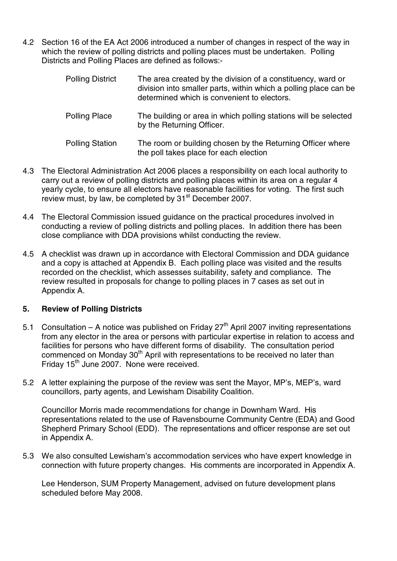4.2 Section 16 of the EA Act 2006 introduced a number of changes in respect of the way in which the review of polling districts and polling places must be undertaken. Polling Districts and Polling Places are defined as follows:-

| <b>Polling District</b> | The area created by the division of a constituency, ward or<br>division into smaller parts, within which a polling place can be<br>determined which is convenient to electors. |  |  |  |
|-------------------------|--------------------------------------------------------------------------------------------------------------------------------------------------------------------------------|--|--|--|
| <b>Polling Place</b>    | The building or area in which polling stations will be selected<br>by the Returning Officer.                                                                                   |  |  |  |
| <b>Polling Station</b>  | The room or building chosen by the Returning Officer where<br>the poll takes place for each election                                                                           |  |  |  |
|                         |                                                                                                                                                                                |  |  |  |

- 4.3 The Electoral Administration Act 2006 places a responsibility on each local authority to carry out a review of polling districts and polling places within its area on a regular 4 yearly cycle, to ensure all electors have reasonable facilities for voting. The first such review must, by law, be completed by 31<sup>st</sup> December 2007.
- 4.4 The Electoral Commission issued guidance on the practical procedures involved in conducting a review of polling districts and polling places. In addition there has been close compliance with DDA provisions whilst conducting the review.
- 4.5 A checklist was drawn up in accordance with Electoral Commission and DDA guidance and a copy is attached at Appendix B. Each polling place was visited and the results recorded on the checklist, which assesses suitability, safety and compliance. The review resulted in proposals for change to polling places in 7 cases as set out in Appendix A.

# **5. Review of Polling Districts**

- 5.1 Consultation A notice was published on Friday  $27<sup>th</sup>$  April 2007 inviting representations from any elector in the area or persons with particular expertise in relation to access and facilities for persons who have different forms of disability. The consultation period commenced on Monday 30<sup>th</sup> April with representations to be received no later than Friday 15th June 2007. None were received.
- 5.2 A letter explaining the purpose of the review was sent the Mayor, MP's, MEP's, ward councillors, party agents, and Lewisham Disability Coalition.

Councillor Morris made recommendations for change in Downham Ward. His representations related to the use of Ravensbourne Community Centre (EDA) and Good Shepherd Primary School (EDD). The representations and officer response are set out in Appendix A.

5.3 We also consulted Lewisham's accommodation services who have expert knowledge in connection with future property changes. His comments are incorporated in Appendix A.

Lee Henderson, SUM Property Management, advised on future development plans scheduled before May 2008.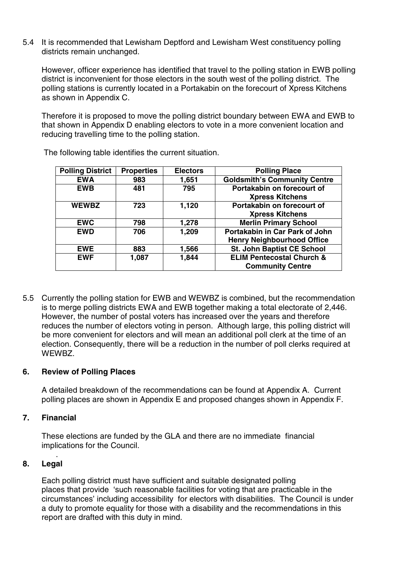5.4 It is recommended that Lewisham Deptford and Lewisham West constituency polling districts remain unchanged.

However, officer experience has identified that travel to the polling station in EWB polling district is inconvenient for those electors in the south west of the polling district. The polling stations is currently located in a Portakabin on the forecourt of Xpress Kitchens as shown in Appendix C.

Therefore it is proposed to move the polling district boundary between EWA and EWB to that shown in Appendix D enabling electors to vote in a more convenient location and reducing travelling time to the polling station.

| <b>Polling District</b> | <b>Properties</b> | <b>Electors</b> | <b>Polling Place</b>                                                |
|-------------------------|-------------------|-----------------|---------------------------------------------------------------------|
| <b>EWA</b>              | 983               | 1,651           | <b>Goldsmith's Community Centre</b>                                 |
| <b>EWB</b>              | 481               | 795             | Portakabin on forecourt of<br><b>Xpress Kitchens</b>                |
| <b>WEWBZ</b>            | 723               | 1,120           | Portakabin on forecourt of<br><b>Xpress Kitchens</b>                |
| <b>EWC</b>              | 798               | 1,278           | <b>Merlin Primary School</b>                                        |
| <b>EWD</b>              | 706               | 1,209           | Portakabin in Car Park of John<br><b>Henry Neighbourhood Office</b> |
| <b>EWE</b>              | 883               | 1,566           | St. John Baptist CE School                                          |
| <b>EWF</b>              | 1,087             | 1,844           | <b>ELIM Pentecostal Church &amp;</b><br><b>Community Centre</b>     |

The following table identifies the current situation.

5.5 Currently the polling station for EWB and WEWBZ is combined, but the recommendation is to merge polling districts EWA and EWB together making a total electorate of 2,446. However, the number of postal voters has increased over the years and therefore reduces the number of electors voting in person. Although large, this polling district will be more convenient for electors and will mean an additional poll clerk at the time of an election. Consequently, there will be a reduction in the number of poll clerks required at WEWBZ.

# **6. Review of Polling Places**

A detailed breakdown of the recommendations can be found at Appendix A. Current polling places are shown in Appendix E and proposed changes shown in Appendix F.

# **7. Financial**

.

These elections are funded by the GLA and there are no immediate financial implications for the Council.

# **8. Legal**

Each polling district must have sufficient and suitable designated polling places that provide 'such reasonable facilities for voting that are practicable in the circumstances' including accessibility for electors with disabilities. The Council is under a duty to promote equality for those with a disability and the recommendations in this report are drafted with this duty in mind.